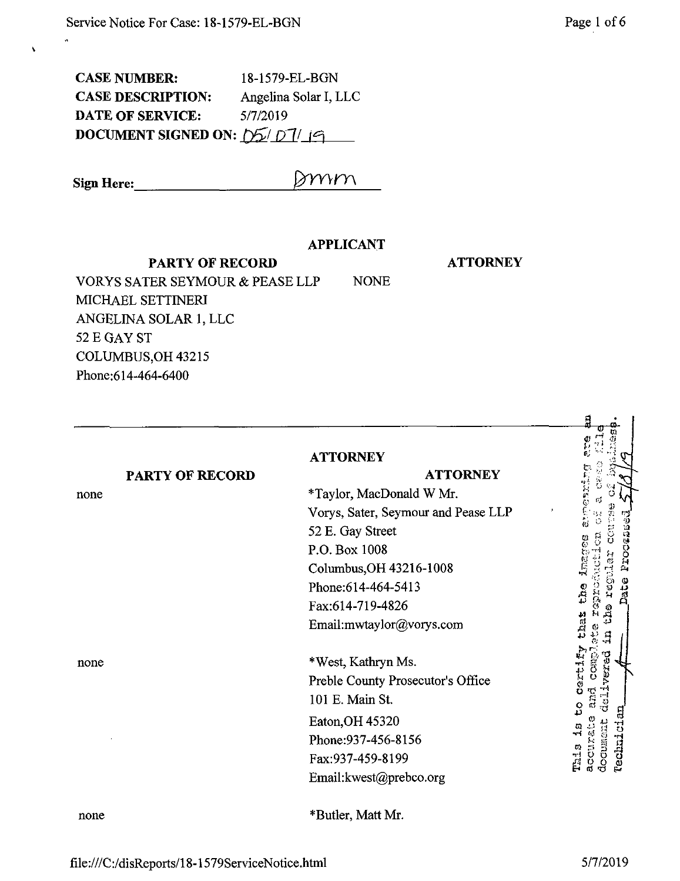| <b>CASE NUMBER:</b>                                           | 18-1579-EL-BGN        |
|---------------------------------------------------------------|-----------------------|
| <b>CASE DESCRIPTION:</b>                                      | Angelina Solar I, LLC |
| <b>DATE OF SERVICE:</b>                                       | 5/7/2019              |
| DOCUMENT SIGNED ON: $\frac{1}{2}$ $\frac{1}{2}$ $\frac{1}{9}$ |                       |

**Sign Here:**

 $\bar{\mathbf{v}}$ 

## **APPLICANT**

Dmm

**PARTY OF RECORD**

**ATTORNEY**

VORYS SATER SEYMOUR & PEASE LLP NONE MICHAEL SETTINERI ANGELINA SOLAR 1, LLC 52 E GAY ST COLUMBUS,OH 43215 Phone:614-464-6400

|                        | <b>ATTORNEY</b>                     |                                        |
|------------------------|-------------------------------------|----------------------------------------|
| <b>PARTY OF RECORD</b> | <b>ATTORNEY</b>                     |                                        |
| none                   | *Taylor, MacDonald W Mr.            | $\sum_{i=1}^{n}$                       |
|                        | Vorys, Sater, Seymour and Pease LLP |                                        |
|                        | 52 E. Gay Street                    | a                                      |
|                        | P.O. Box 1008                       | ÖOT.                                   |
|                        | Columbus, OH 43216-1008             | Δ,                                     |
|                        | Phone: 614-464-5413                 | រ<br>ខ្ល                               |
|                        | Fax:614-719-4826                    |                                        |
|                        | Email:mwtaylor@vorys.com            | that                                   |
| none                   | *West, Kathryn Ms.                  | vered<br><b>COND</b>                   |
|                        | Preble County Prosecutor's Office   | <b>Certil</b>                          |
|                        | 101 E. Main St.                     | ဌ                                      |
|                        | Eaton, OH 45320                     |                                        |
|                        | Phone: 937-456-8156                 | <b>Technici</b><br>document<br>accural |
|                        | Fax:937-459-8199                    | This                                   |
|                        | Email: kwest@prebco.org             |                                        |
| none                   | *Butler, Matt Mr.                   |                                        |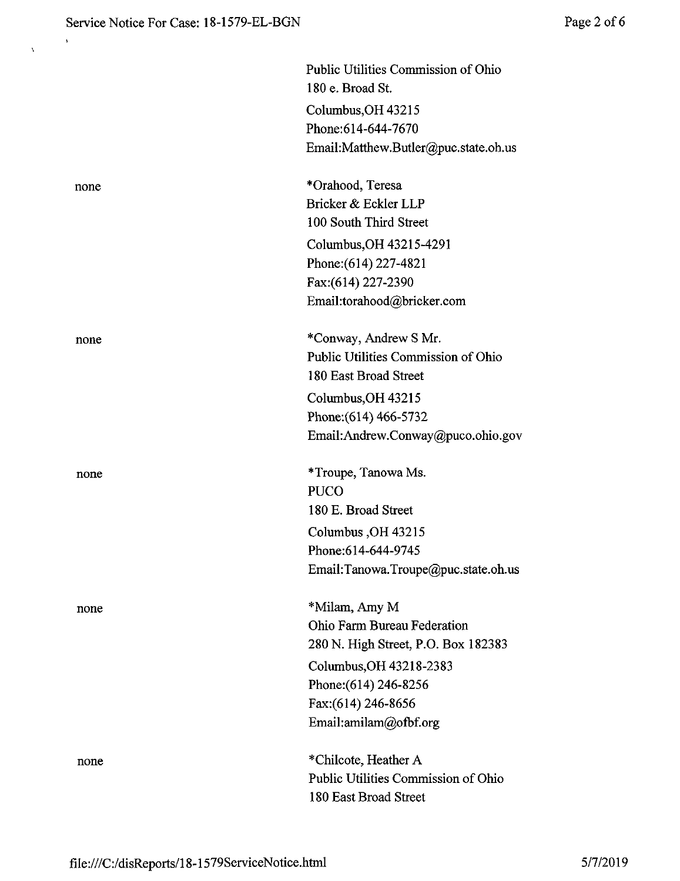$\hat{\mathbf{y}}$ 

 $\bar{\lambda}$ 

|      | Public Utilities Commission of Ohio<br>180 e. Broad St. |
|------|---------------------------------------------------------|
|      | Columbus, OH 43215                                      |
|      | Phone: 614-644-7670                                     |
|      | Email:Matthew.Butler@puc.state.oh.us                    |
|      |                                                         |
| none | *Orahood, Teresa                                        |
|      | Bricker & Eckler LLP                                    |
|      | 100 South Third Street                                  |
|      | Columbus, OH 43215-4291                                 |
|      | Phone: (614) 227-4821                                   |
|      | Fax:(614) 227-2390                                      |
|      | Email:torahood@bricker.com                              |
| none | *Conway, Andrew S Mr.                                   |
|      | Public Utilities Commission of Ohio                     |
|      | 180 East Broad Street                                   |
|      | Columbus, OH 43215                                      |
|      | Phone: (614) 466-5732                                   |
|      | Email:Andrew.Conway@puco.ohio.gov                       |
|      |                                                         |
| none | *Troupe, Tanowa Ms.                                     |
|      | <b>PUCO</b>                                             |
|      | 180 E. Broad Street                                     |
|      | Columbus, OH 43215                                      |
|      | Phone:614-644-9745                                      |
|      | Email:Tanowa.Troupe@puc.state.oh.us                     |
|      | *Milam, Amy M                                           |
| none | Ohio Farm Bureau Federation                             |
|      | 280 N. High Street, P.O. Box 182383                     |
|      | Columbus, OH 43218-2383                                 |
|      | Phone: (614) 246-8256                                   |
|      | Fax: (614) 246-8656                                     |
|      | Email:amilam@ofbf.org                                   |
|      | *Chilcote, Heather A                                    |
| none | Public Utilities Commission of Ohio                     |
|      | 180 East Broad Street                                   |
|      |                                                         |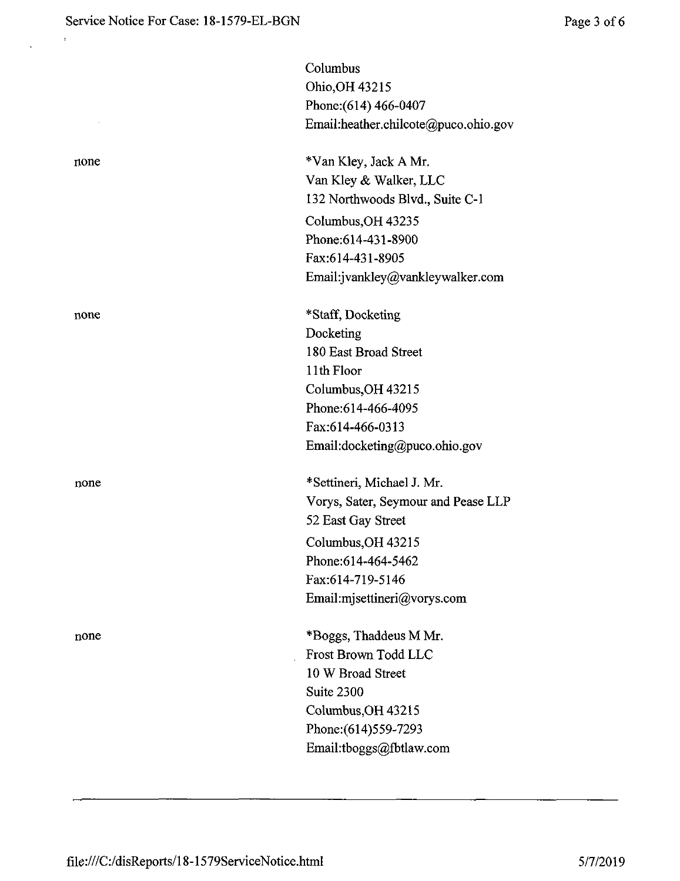$\ddot{\mathrm{t}}$ 

|      | Columbus                             |
|------|--------------------------------------|
|      | Ohio, OH 43215                       |
|      | Phone: (614) 466-0407                |
|      | Email:heather.chilcote@puco.ohio.gov |
| none | *Van Kley, Jack A Mr.                |
|      | Van Kley & Walker, LLC               |
|      | 132 Northwoods Blvd., Suite C-1      |
|      | Columbus, OH 43235                   |
|      | Phone: 614-431-8900                  |
|      | Fax:614-431-8905                     |
|      | Email:jvankley@vankleywalker.com     |
| none | *Staff, Docketing                    |
|      | Docketing                            |
|      | 180 East Broad Street                |
|      | 11th Floor                           |
|      | Columbus, OH 43215                   |
|      | Phone: 614-466-4095                  |
|      | Fax:614-466-0313                     |
|      | Email:docketing@puco.ohio.gov        |
| none | *Settineri, Michael J. Mr.           |
|      | Vorys, Sater, Seymour and Pease LLP  |
|      | 52 East Gay Street                   |
|      | Columbus, OH 43215                   |
|      | Phone:614-464-5462                   |
|      | Fax:614-719-5146                     |
|      | Email:mjsettineri@vorys.com          |
| none | *Boggs, Thaddeus M Mr.               |
|      | Frost Brown Todd LLC                 |
|      | 10 W Broad Street                    |
|      | Suite 2300                           |
|      | Columbus, OH 43215                   |
|      | Phone: (614) 559-7293                |
|      | Email:tboggs@fbtlaw.com              |
|      |                                      |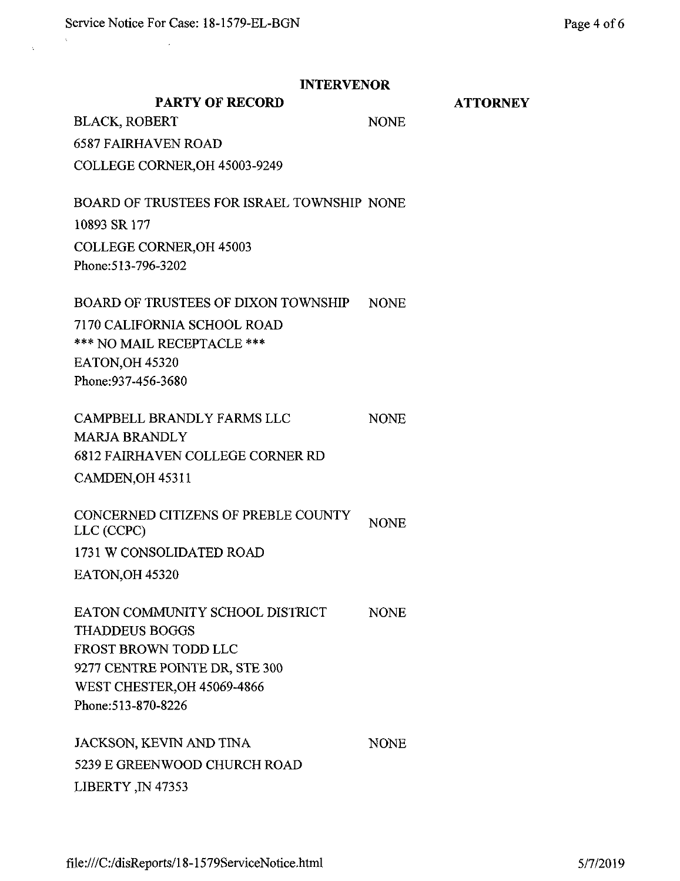$\bar{\beta}$ 

 $\bar{\lambda}$ 

| <b>INTERVENOR</b>                                 |             |                 |
|---------------------------------------------------|-------------|-----------------|
| <b>PARTY OF RECORD</b>                            |             | <b>ATTORNEY</b> |
| <b>BLACK, ROBERT</b>                              | <b>NONE</b> |                 |
| <b>6587 FAIRHAVEN ROAD</b>                        |             |                 |
| COLLEGE CORNER, OH 45003-9249                     |             |                 |
| BOARD OF TRUSTEES FOR ISRAEL TOWNSHIP NONE        |             |                 |
| 10893 SR 177                                      |             |                 |
| <b>COLLEGE CORNER, OH 45003</b>                   |             |                 |
| Phone: 513-796-3202                               |             |                 |
| <b>BOARD OF TRUSTEES OF DIXON TOWNSHIP</b>        | <b>NONE</b> |                 |
| 7170 CALIFORNIA SCHOOL ROAD                       |             |                 |
| *** NO MAIL RECEPTACLE ***                        |             |                 |
| EATON, OH 45320                                   |             |                 |
| Phone: 937-456-3680                               |             |                 |
| CAMPBELL BRANDLY FARMS LLC                        | <b>NONE</b> |                 |
| <b>MARJA BRANDLY</b>                              |             |                 |
| <b>6812 FAIRHAVEN COLLEGE CORNER RD</b>           |             |                 |
| CAMDEN, OH 45311                                  |             |                 |
| CONCERNED CITIZENS OF PREBLE COUNTY<br>LLC (CCPC) | <b>NONE</b> |                 |
| 1731 W CONSOLIDATED ROAD                          |             |                 |
| EATON, OH 45320                                   |             |                 |
| EATON COMMUNITY SCHOOL DISTRICT                   | <b>NONE</b> |                 |
| <b>THADDEUS BOGGS</b>                             |             |                 |
| FROST BROWN TODD LLC                              |             |                 |
| 9277 CENTRE POINTE DR, STE 300                    |             |                 |
| <b>WEST CHESTER, OH 45069-4866</b>                |             |                 |
| Phone: 513-870-8226                               |             |                 |
| JACKSON, KEVIN AND TINA                           | <b>NONE</b> |                 |
| 5239 E GREENWOOD CHURCH ROAD                      |             |                 |
| LIBERTY, IN 47353                                 |             |                 |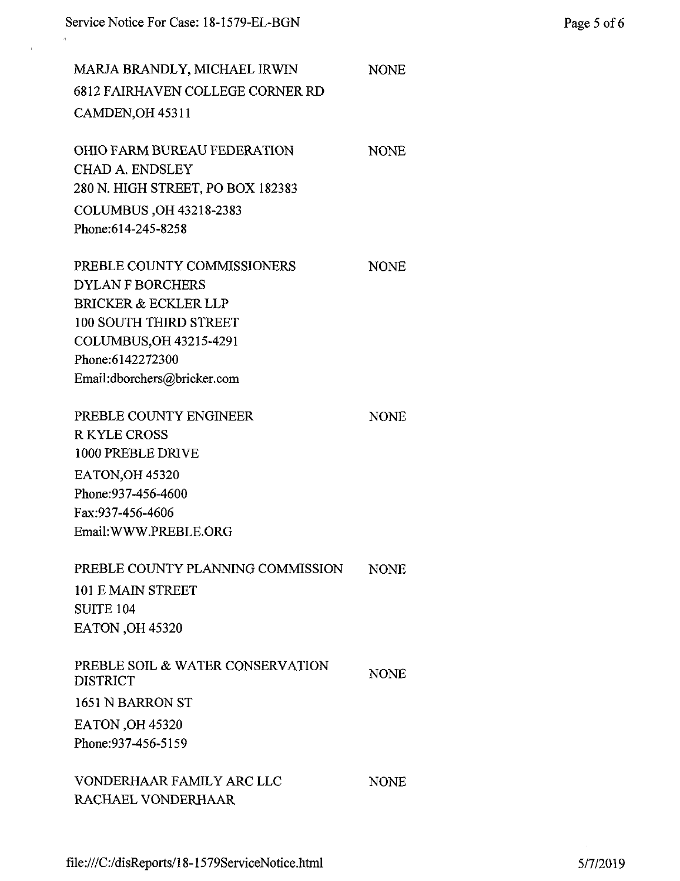MARJA BRANDLY, MICHAEL IRWIN 6812 FAIRHAVEN COLLEGE CORNER RD CAMDEN, OH 45311

| <b>OHIO FARM BUREAU FEDERATION</b> | <b>NONE</b> |
|------------------------------------|-------------|
| CHAD A. ENDSLEY                    |             |
| 280 N. HIGH STREET, PO BOX 182383  |             |
| COLUMBUS, OH 43218-2383            |             |
| Phone: 614-245-8258                |             |
|                                    |             |

NONE

NONE

NONE

PREBLE COUNTY COMMISSIONERS DYLAN F BORCHERS BRICKER & ECKLER LLP 100 SOUTH THIRD STREET COLUMBUS,OH 43215-4291 Phone:6142272300 Email:dborchers@bricker.com

PREBLE COUNTY ENGINEER RKYLE CROSS 1000 PREBLE DRIVE EATON,OH 45320 Phone:937-456-4600 Fax:937-456-4606 EmaihWWW.PREBLE.ORG

| PREBLE COUNTY PLANNING COMMISSION | NONE. |
|-----------------------------------|-------|
| 101 E MAIN STREET                 |       |
| <b>SUITE 104</b>                  |       |
| <b>EATON .OH 45320</b>            |       |
|                                   |       |

| PREBLE SOIL & WATER CONSERVATION<br><b>DISTRICT</b> | <b>NONE</b> |
|-----------------------------------------------------|-------------|
| 1651 N BARRON ST                                    |             |
| <b>EATON</b> , OH 45320                             |             |
| Phone: 937-456-5159                                 |             |
|                                                     |             |

VONDERGHAAR FAMILY ARC LLC RACHAEL VONDERHAAR NONE